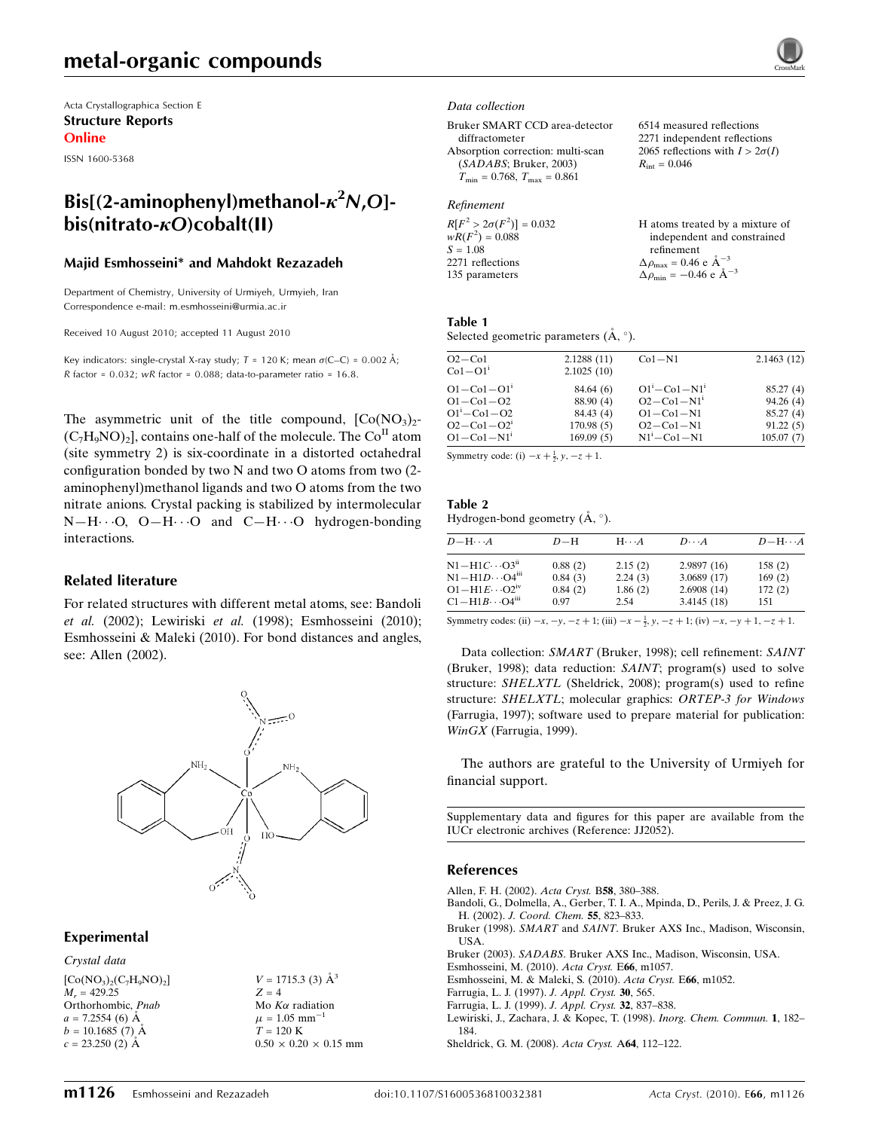## metal-organic compounds

Acta Crystallographica Section E Structure Reports Online

ISSN 1600-5368

## Bis[(2-aminophenyl)methanol- $\kappa^2$ N,O] $bis(nitrato- $\kappa$ O) cobalt(II)$

### Majid Esmhosseini\* and Mahdokt Rezazadeh

Department of Chemistry, University of Urmiyeh, Urmyieh, Iran Correspondence e-mail: m.esmhosseini@urmia.ac.ir

Received 10 August 2010; accepted 11 August 2010

Key indicators: single-crystal X-ray study;  $T = 120$  K; mean  $\sigma$ (C–C) = 0.002 Å; R factor =  $0.032$ ; wR factor =  $0.088$ ; data-to-parameter ratio =  $16.8$ .

The asymmetric unit of the title compound,  $[Co(NO<sub>3</sub>)<sub>2</sub>$ - $(C_7H_9NO)_2$ , contains one-half of the molecule. The  $Co<sup>H</sup>$  atom (site symmetry 2) is six-coordinate in a distorted octahedral configuration bonded by two N and two O atoms from two (2 aminophenyl)methanol ligands and two O atoms from the two nitrate anions. Crystal packing is stabilized by intermolecular  $N-H\cdots$ O, O $-H\cdots$ O and C $-H\cdots$ O hydrogen-bonding interactions.

### Related literature

For related structures with different metal atoms, see: Bandoli et al. (2002); Lewiriski et al. (1998); Esmhosseini (2010); Esmhosseini & Maleki (2010). For bond distances and angles, see: Allen (2002).



### Experimental

Crystal data  $[Co(NO<sub>3</sub>)<sub>2</sub>(C<sub>7</sub>H<sub>9</sub>NO)<sub>2</sub>]$  $M_r = 429.25$ Orthorhombic, Pnab  $a = 7.2554(6)$  Å  $b = 10.1685(7)$  Å  $c = 23.250$  (2) Å

 $V = 1715.3$  (3)  $\AA^3$  $Z = 4$ Mo  $K\alpha$  radiation  $\mu = 1.05$  mm<sup>-1</sup>  $T = 120$  K  $0.50 \times 0.20 \times 0.15$  mm

#### Data collection

Bruker SMART CCD area-detector diffractometer Absorption correction: multi-scan (SADABS; Bruker, 2003)  $T_{\text{min}} = 0.768$ ,  $T_{\text{max}} = 0.861$ 

### Refinement

| $R[F^2 > 2\sigma(F^2)] = 0.032$ | H atoms treated by a mixture of                    |
|---------------------------------|----------------------------------------------------|
| $wR(F^2) = 0.088$               | independent and constrained                        |
| $S = 1.08$                      | refinement                                         |
| 2271 reflections                | $\Delta \rho_{\text{max}} = 0.46 \text{ e A}^{-3}$ |
| 135 parameters                  | $\Delta \rho_{\text{min}} = -0.46$ e $\AA^{-3}$    |
|                                 |                                                    |

6514 measured reflections 2271 independent reflections 2065 reflections with  $I > 2\sigma(I)$ 

 $R_{\text{int}} = 0.046$ 

### Table 1

Selected geometric parameters  $(A, \circ)$ .

| $O2 - Co1$<br>$Co1-O1i$                                                                                                    | 2.1288(11)<br>2.1025(10)                                     | $Co1-N1$                                                                                             | 2.1463(12)                                                |
|----------------------------------------------------------------------------------------------------------------------------|--------------------------------------------------------------|------------------------------------------------------------------------------------------------------|-----------------------------------------------------------|
| $O1 - Co1 - O11$<br>$O1 - Co1 - O2$<br>$O1^{i} - Co1 - O2$<br>$O2 - Co1 - O2$ <sup>1</sup><br>$O1 - Co1 - N1$ <sup>1</sup> | 84.64(6)<br>88.90 (4)<br>84.43 (4)<br>170.98(5)<br>169.09(5) | $O1^i$ – $Co1 - N1^i$<br>$O2 - Co1 - N1i$<br>$O1 - Co1 - N1$<br>$O2 - Co1 - N1$<br>$N1^1 - Co1 - N1$ | 85.27(4)<br>94.26(4)<br>85.27(4)<br>91.22(5)<br>105.07(7) |

Symmetry code: (i)  $-x + \frac{1}{2}$ ,  $y, -z + 1$ .

#### Table 2 Hydrogen-bond geometry  $(\mathring{A}, \degree)$ .

| $D - H \cdots A$                    | $D-H$   | $H \cdot \cdot \cdot A$ | $D\cdots A$ | $D - H \cdots A$ |
|-------------------------------------|---------|-------------------------|-------------|------------------|
| $N1 - H1C \cdots O3ii$              | 0.88(2) | 2.15(2)                 | 2.9897(16)  | 158(2)           |
| $N1 - H1D \cdots O4$ <sup>iii</sup> | 0.84(3) | 2.24(3)                 | 3.0689(17)  | 169(2)           |
| $O1 - H1E \cdots O2^W$              | 0.84(2) | 1.86(2)                 | 2.6908(14)  | 172(2)           |
| $C1 - H1B \cdots O4$ <sup>iii</sup> | 0.97    | 2.54                    | 3.4145(18)  | 151              |

Symmetry codes: (ii)  $-x$ ,  $-y$ ,  $-z + 1$ ; (iii)  $-x - \frac{1}{2}$ ,  $y$ ,  $-z + 1$ ; (iv)  $-x$ ,  $-y + 1$ ,  $-z + 1$ .

Data collection: SMART (Bruker, 1998); cell refinement: SAINT (Bruker, 1998); data reduction: SAINT; program(s) used to solve structure: SHELXTL (Sheldrick, 2008); program(s) used to refine structure: SHELXTL; molecular graphics: ORTEP-3 for Windows (Farrugia, 1997); software used to prepare material for publication: WinGX (Farrugia, 1999).

The authors are grateful to the University of Urmiyeh for financial support.

Supplementary data and figures for this paper are available from the IUCr electronic archives (Reference: JJ2052).

### References

- [Allen, F. H. \(2002\).](https://scripts.iucr.org/cgi-bin/cr.cgi?rm=pdfbb&cnor=jj2052&bbid=BB1) Acta Cryst. B58, 380–388.
- [Bandoli, G., Dolmella, A., Gerber, T. I. A., Mpinda, D., Perils, J. & Preez, J. G.](https://scripts.iucr.org/cgi-bin/cr.cgi?rm=pdfbb&cnor=jj2052&bbid=BB2) H. (2002). [J. Coord. Chem.](https://scripts.iucr.org/cgi-bin/cr.cgi?rm=pdfbb&cnor=jj2052&bbid=BB2) 55, 823–833.
- Bruker (1998). SMART and SAINT[. Bruker AXS Inc., Madison, Wisconsin,](https://scripts.iucr.org/cgi-bin/cr.cgi?rm=pdfbb&cnor=jj2052&bbid=BB3) [USA.](https://scripts.iucr.org/cgi-bin/cr.cgi?rm=pdfbb&cnor=jj2052&bbid=BB3)
- Bruker (2003). SADABS[. Bruker AXS Inc., Madison, Wisconsin, USA.](https://scripts.iucr.org/cgi-bin/cr.cgi?rm=pdfbb&cnor=jj2052&bbid=BB4)
- [Esmhosseini, M. \(2010\).](https://scripts.iucr.org/cgi-bin/cr.cgi?rm=pdfbb&cnor=jj2052&bbid=BB5) Acta Cryst. E66, m1057.
- [Esmhosseini, M. & Maleki, S. \(2010\).](https://scripts.iucr.org/cgi-bin/cr.cgi?rm=pdfbb&cnor=jj2052&bbid=BB6) Acta Cryst. E66, m1052.
- [Farrugia, L. J. \(1997\).](https://scripts.iucr.org/cgi-bin/cr.cgi?rm=pdfbb&cnor=jj2052&bbid=BB7) J. Appl. Cryst. 30, 565.
- [Farrugia, L. J. \(1999\).](https://scripts.iucr.org/cgi-bin/cr.cgi?rm=pdfbb&cnor=jj2052&bbid=BB8) J. Appl. Cryst. 32, 837–838.
- [Lewiriski, J., Zachara, J. & Kopec, T. \(1998\).](https://scripts.iucr.org/cgi-bin/cr.cgi?rm=pdfbb&cnor=jj2052&bbid=BB9) Inorg. Chem. Commun. 1, 182– [184.](https://scripts.iucr.org/cgi-bin/cr.cgi?rm=pdfbb&cnor=jj2052&bbid=BB9)
- [Sheldrick, G. M. \(2008\).](https://scripts.iucr.org/cgi-bin/cr.cgi?rm=pdfbb&cnor=jj2052&bbid=BB10) Acta Cryst. A64, 112–122.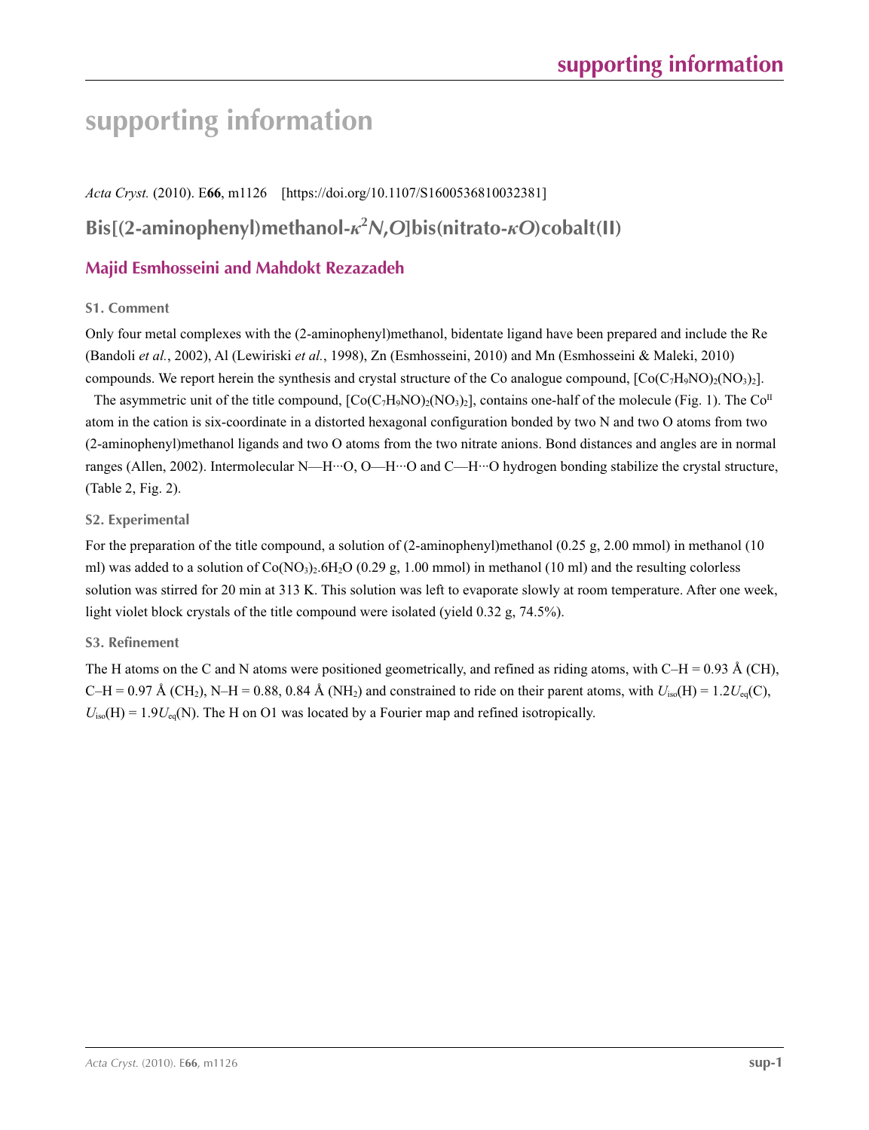# **supporting information**

*Acta Cryst.* (2010). E**66**, m1126 [https://doi.org/10.1107/S1600536810032381] **Bis[(2-aminophenyl)methanol-***κ***<sup>2</sup>** *N***,***O***]bis(nitrato-***κO***)cobalt(II)**

### **Majid Esmhosseini and Mahdokt Rezazadeh**

### **S1. Comment**

Only four metal complexes with the (2-aminophenyl)methanol, bidentate ligand have been prepared and include the Re (Bandoli *et al.*, 2002), Al (Lewiriski *et al.*, 1998), Zn (Esmhosseini, 2010) and Mn (Esmhosseini & Maleki, 2010) compounds. We report herein the synthesis and crystal structure of the Co analogue compound,  $[Co(C<sub>7</sub>H<sub>9</sub>NO<sub>2</sub>)(NO<sub>3</sub>)<sub>2</sub>]$ .

The asymmetric unit of the title compound,  $[Co(C<sub>7</sub>H<sub>9</sub>NO)<sub>2</sub>(NO<sub>3</sub>)<sub>2</sub>]$ , contains one-half of the molecule (Fig. 1). The  $Co<sup>II</sup>$ atom in the cation is six-coordinate in a distorted hexagonal configuration bonded by two N and two O atoms from two (2-aminophenyl)methanol ligands and two O atoms from the two nitrate anions. Bond distances and angles are in normal ranges (Allen, 2002). Intermolecular N—H···O, O—H···O and C—H···O hydrogen bonding stabilize the crystal structure, (Table 2, Fig. 2).

### **S2. Experimental**

For the preparation of the title compound, a solution of (2-aminophenyl)methanol (0.25 g, 2.00 mmol) in methanol (10 ml) was added to a solution of  $Co(NO<sub>3</sub>)<sub>2</sub>·6H<sub>2</sub>O$  (0.29 g, 1.00 mmol) in methanol (10 ml) and the resulting colorless solution was stirred for 20 min at 313 K. This solution was left to evaporate slowly at room temperature. After one week, light violet block crystals of the title compound were isolated (yield 0.32 g, 74.5%).

### **S3. Refinement**

The H atoms on the C and N atoms were positioned geometrically, and refined as riding atoms, with C–H = 0.93 Å (CH),  $C-H = 0.97$  Å (CH<sub>2</sub>), N–H = 0.88, 0.84 Å (NH<sub>2</sub>) and constrained to ride on their parent atoms, with  $U_{iso}(H) = 1.2U_{eq}(C)$ ,  $U_{iso}(H) = 1.9U_{eq}(N)$ . The H on O1 was located by a Fourier map and refined isotropically.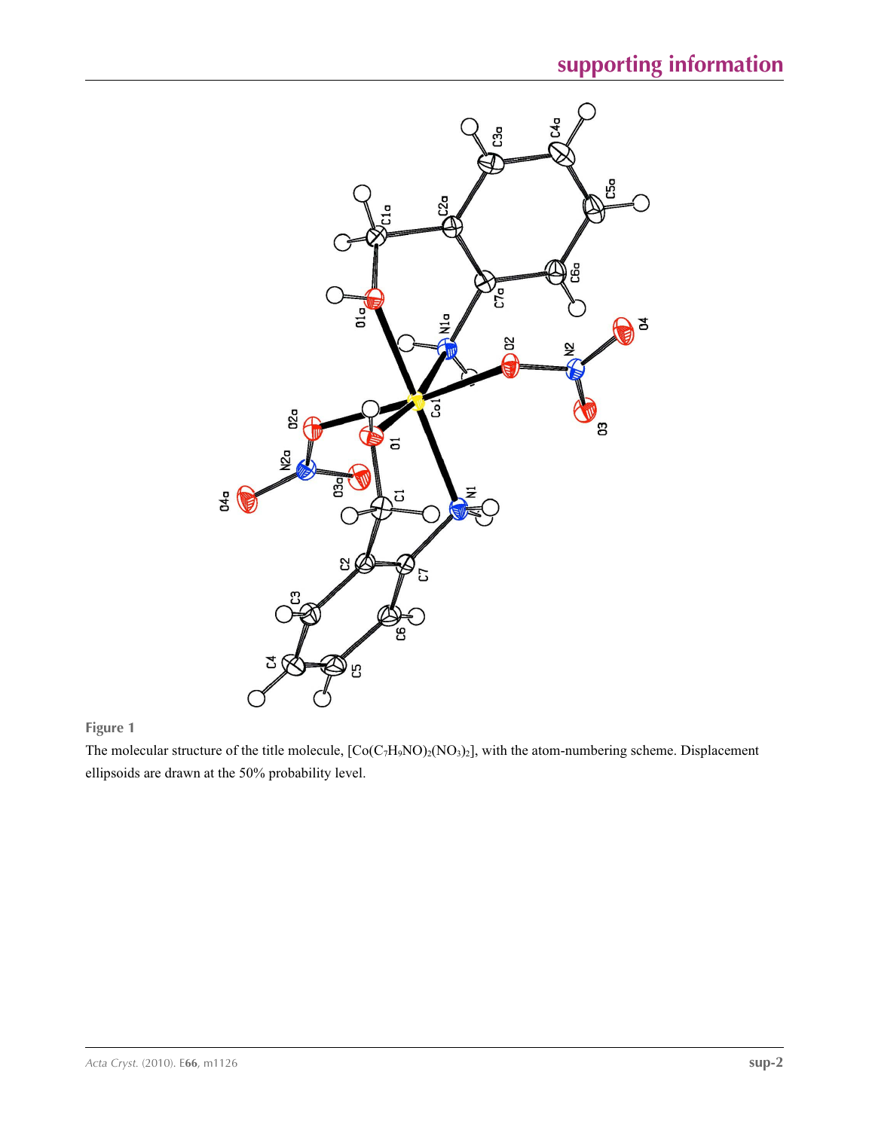

**Figure 1**

The molecular structure of the title molecule,  $[Co(C<sub>7</sub>H<sub>9</sub>NO)<sub>2</sub>(NO<sub>3</sub>)<sub>2</sub>]$ , with the atom-numbering scheme. Displacement ellipsoids are drawn at the 50% probability level.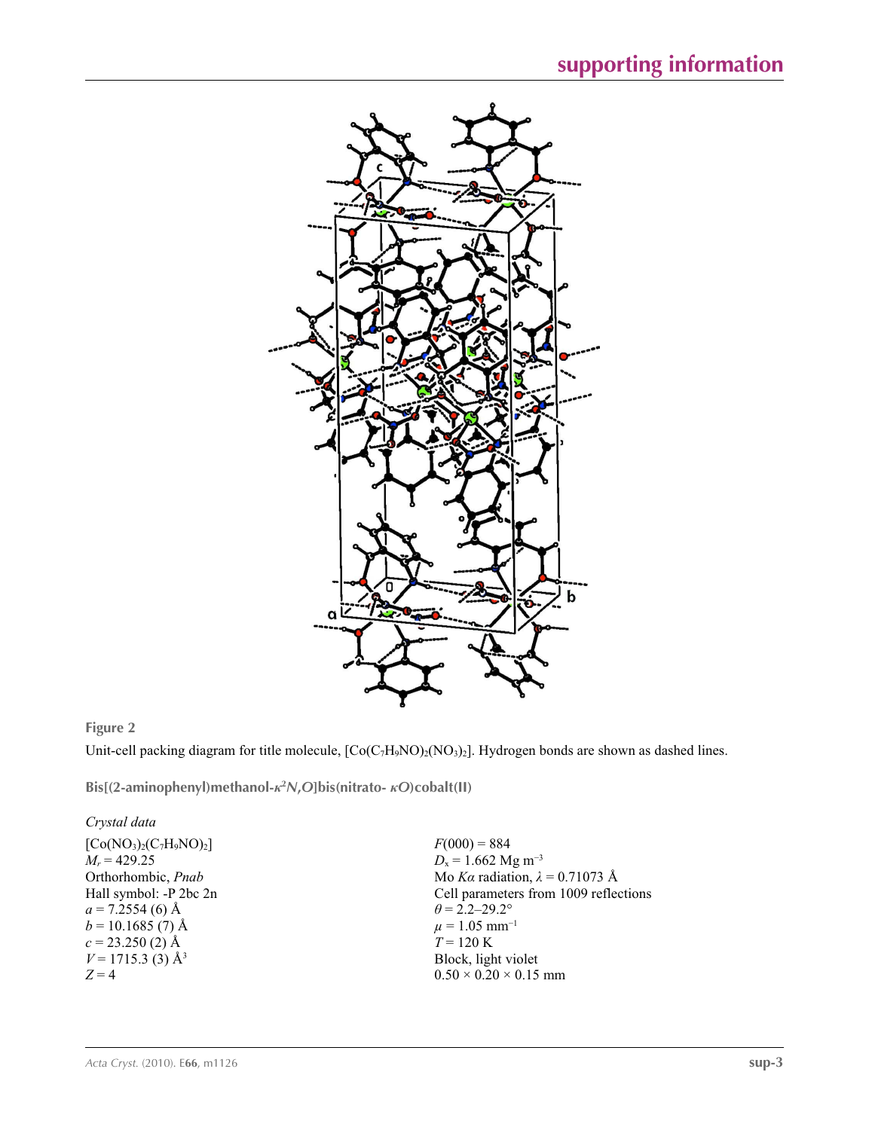

### **Figure 2**

Unit-cell packing diagram for title molecule,  $[Co(C<sub>7</sub>H<sub>9</sub>NO)<sub>2</sub>(NO<sub>3</sub>)<sub>2</sub>]$ . Hydrogen bonds are shown as dashed lines.

**Bis[(2-aminophenyl)methanol-***κ***<sup>2</sup>** *N***,***O***]bis(nitrato-** *κO***)cobalt(II)** 

### *Crystal data*

 $[Co(NO<sub>3</sub>)<sub>2</sub>(C<sub>7</sub>H<sub>9</sub>NO)<sub>2</sub>]$  $M_r = 429.25$ Orthorhombic, *Pnab* Hall symbol: -P 2bc 2n  $a = 7.2554(6)$  Å  $b = 10.1685(7)$  Å  $c = 23.250$  (2) Å  $V = 1715.3$  (3) Å<sup>3</sup>  $Z = 4$ 

 $F(000) = 884$  $D_x = 1.662$  Mg m<sup>-3</sup> Mo *Kα* radiation, *λ* = 0.71073 Å Cell parameters from 1009 reflections  $\theta = 2.2 - 29.2^{\circ}$  $\mu = 1.05$  mm<sup>-1</sup>  $T = 120$  K Block, light violet  $0.50 \times 0.20 \times 0.15$  mm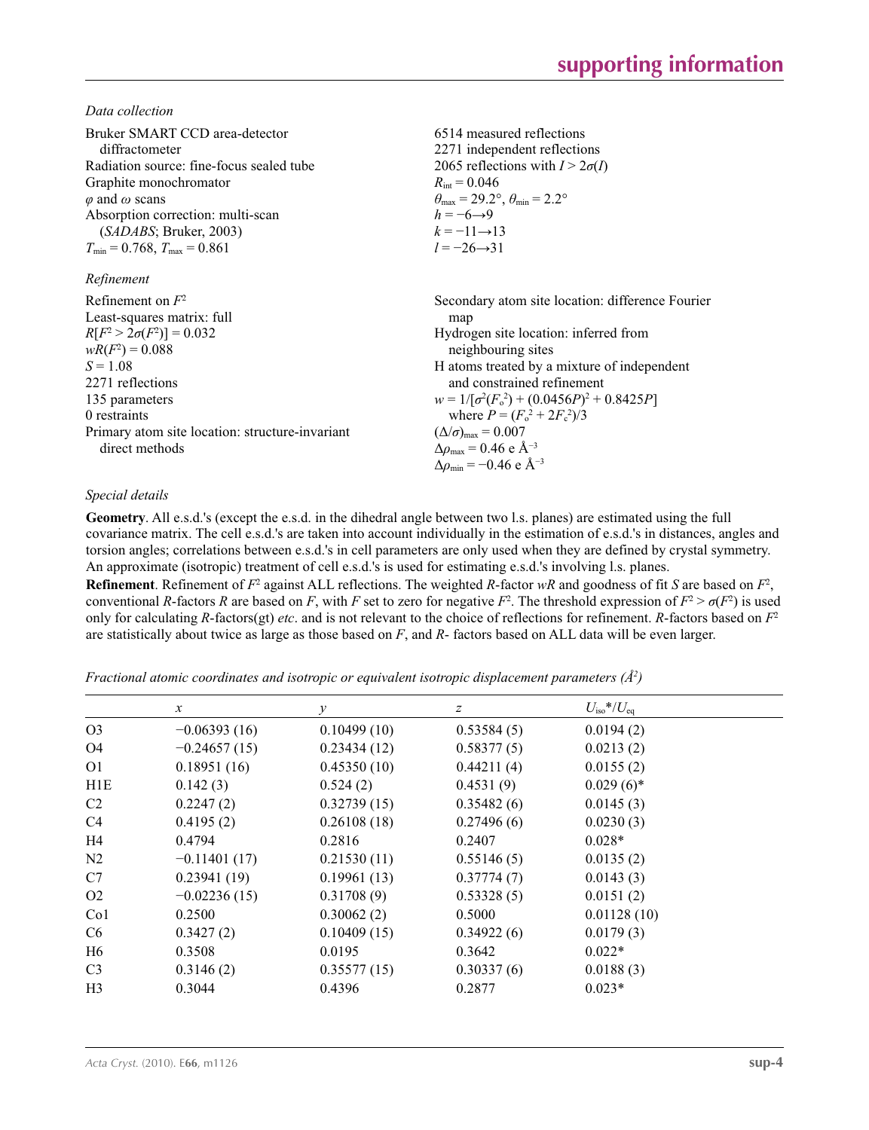*Data collection*

| Bruker SMART CCD area-detector<br>diffractometer<br>Radiation source: fine-focus sealed tube<br>Graphite monochromator<br>$\varphi$ and $\omega$ scans<br>Absorption correction: multi-scan<br>(SADABS; Bruker, 2003)<br>$T_{\min}$ = 0.768, $T_{\max}$ = 0.861<br>Refinement | 6514 measured reflections<br>2271 independent reflections<br>2065 reflections with $I > 2\sigma(I)$<br>$R_{\rm int} = 0.046$<br>$\theta_{\text{max}} = 29.2^{\circ}, \theta_{\text{min}} = 2.2^{\circ}$<br>$h = -6 \rightarrow 9$<br>$k = -11 \rightarrow 13$<br>$l = -26 \rightarrow 31$ |
|-------------------------------------------------------------------------------------------------------------------------------------------------------------------------------------------------------------------------------------------------------------------------------|-------------------------------------------------------------------------------------------------------------------------------------------------------------------------------------------------------------------------------------------------------------------------------------------|
| Refinement on $F^2$                                                                                                                                                                                                                                                           | Secondary atom site location: difference Fourier                                                                                                                                                                                                                                          |
| Least-squares matrix: full                                                                                                                                                                                                                                                    | map                                                                                                                                                                                                                                                                                       |
| $R[F^2 > 2\sigma(F^2)] = 0.032$<br>$wR(F^2) = 0.088$                                                                                                                                                                                                                          | Hydrogen site location: inferred from<br>neighbouring sites                                                                                                                                                                                                                               |
| $S = 1.08$                                                                                                                                                                                                                                                                    | H atoms treated by a mixture of independent                                                                                                                                                                                                                                               |
| 2271 reflections                                                                                                                                                                                                                                                              | and constrained refinement                                                                                                                                                                                                                                                                |
| 135 parameters                                                                                                                                                                                                                                                                | $w = 1/[\sigma^2(F_0^2) + (0.0456P)^2 + 0.8425P]$                                                                                                                                                                                                                                         |
| 0 restraints                                                                                                                                                                                                                                                                  | where $P = (F_0^2 + 2F_c^2)/3$                                                                                                                                                                                                                                                            |
| Primary atom site location: structure-invariant<br>direct methods                                                                                                                                                                                                             | $(\Delta/\sigma)_{\text{max}} = 0.007$<br>$\Delta\rho_{\rm max}$ = 0.46 e Å <sup>-3</sup><br>$\Delta\rho_{\rm min} = -0.46$ e Å <sup>-3</sup>                                                                                                                                             |

### *Special details*

**Geometry**. All e.s.d.'s (except the e.s.d. in the dihedral angle between two l.s. planes) are estimated using the full covariance matrix. The cell e.s.d.'s are taken into account individually in the estimation of e.s.d.'s in distances, angles and torsion angles; correlations between e.s.d.'s in cell parameters are only used when they are defined by crystal symmetry. An approximate (isotropic) treatment of cell e.s.d.'s is used for estimating e.s.d.'s involving l.s. planes.

**Refinement**. Refinement of  $F^2$  against ALL reflections. The weighted *R*-factor  $wR$  and goodness of fit *S* are based on  $F^2$ , conventional *R*-factors *R* are based on *F*, with *F* set to zero for negative  $F^2$ . The threshold expression of  $F^2 > \sigma(F^2)$  is used only for calculating *R*-factors(gt) *etc*. and is not relevant to the choice of reflections for refinement. *R*-factors based on *F*<sup>2</sup> are statistically about twice as large as those based on *F*, and *R*- factors based on ALL data will be even larger.

*Fractional atomic coordinates and isotropic or equivalent isotropic displacement parameters (Å2 )*

|                  | $\boldsymbol{x}$ | $\mathcal V$ | z          | $U_{\rm iso}*/U_{\rm eq}$ |  |
|------------------|------------------|--------------|------------|---------------------------|--|
| O <sub>3</sub>   | $-0.06393(16)$   | 0.10499(10)  | 0.53584(5) | 0.0194(2)                 |  |
| O4               | $-0.24657(15)$   | 0.23434(12)  | 0.58377(5) | 0.0213(2)                 |  |
| O <sub>1</sub>   | 0.18951(16)      | 0.45350(10)  | 0.44211(4) | 0.0155(2)                 |  |
| H <sub>1</sub> E | 0.142(3)         | 0.524(2)     | 0.4531(9)  | $0.029(6)$ *              |  |
| C2               | 0.2247(2)        | 0.32739(15)  | 0.35482(6) | 0.0145(3)                 |  |
| C <sub>4</sub>   | 0.4195(2)        | 0.26108(18)  | 0.27496(6) | 0.0230(3)                 |  |
| H4               | 0.4794           | 0.2816       | 0.2407     | $0.028*$                  |  |
| N <sub>2</sub>   | $-0.11401(17)$   | 0.21530(11)  | 0.55146(5) | 0.0135(2)                 |  |
| C7               | 0.23941(19)      | 0.19961(13)  | 0.37774(7) | 0.0143(3)                 |  |
| O <sub>2</sub>   | $-0.02236(15)$   | 0.31708(9)   | 0.53328(5) | 0.0151(2)                 |  |
| Co <sub>1</sub>  | 0.2500           | 0.30062(2)   | 0.5000     | 0.01128(10)               |  |
| C <sub>6</sub>   | 0.3427(2)        | 0.10409(15)  | 0.34922(6) | 0.0179(3)                 |  |
| H6               | 0.3508           | 0.0195       | 0.3642     | $0.022*$                  |  |
| C <sub>3</sub>   | 0.3146(2)        | 0.35577(15)  | 0.30337(6) | 0.0188(3)                 |  |
| H <sub>3</sub>   | 0.3044           | 0.4396       | 0.2877     | $0.023*$                  |  |
|                  |                  |              |            |                           |  |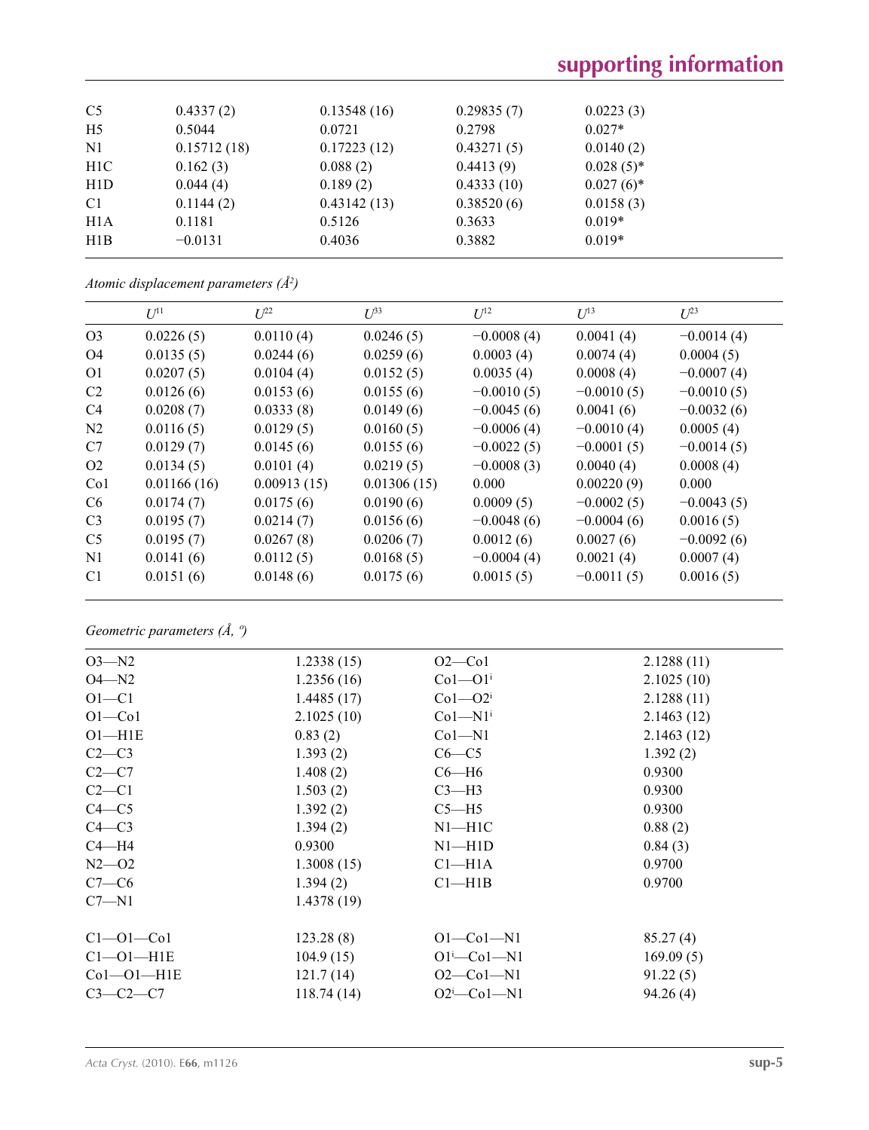# **supporting information**

| C <sub>5</sub>   | 0.4337(2)   | 0.13548(16) | 0.29835(7) | 0.0223(3)    |  |
|------------------|-------------|-------------|------------|--------------|--|
| H <sub>5</sub>   | 0.5044      | 0.0721      | 0.2798     | $0.027*$     |  |
| N1               | 0.15712(18) | 0.17223(12) | 0.43271(5) | 0.0140(2)    |  |
| H <sub>1</sub> C | 0.162(3)    | 0.088(2)    | 0.4413(9)  | $0.028(5)$ * |  |
| H <sub>1</sub> D | 0.044(4)    | 0.189(2)    | 0.4333(10) | $0.027(6)$ * |  |
| C <sub>1</sub>   | 0.1144(2)   | 0.43142(13) | 0.38520(6) | 0.0158(3)    |  |
| H1A              | 0.1181      | 0.5126      | 0.3633     | $0.019*$     |  |
| H1B              | $-0.0131$   | 0.4036      | 0.3882     | $0.019*$     |  |
|                  |             |             |            |              |  |

|  | Atomic displacement parameters $(\AA^2)$ |  |  |
|--|------------------------------------------|--|--|
|--|------------------------------------------|--|--|

|                 | $U^{11}$    | $L^{22}$    | $\mathcal{L}^{\beta 3}$ | $U^{12}$     | $U^{13}$     | $U^{23}$     |
|-----------------|-------------|-------------|-------------------------|--------------|--------------|--------------|
| O <sub>3</sub>  | 0.0226(5)   | 0.0110(4)   | 0.0246(5)               | $-0.0008(4)$ | 0.0041(4)    | $-0.0014(4)$ |
| O <sub>4</sub>  | 0.0135(5)   | 0.0244(6)   | 0.0259(6)               | 0.0003(4)    | 0.0074(4)    | 0.0004(5)    |
| O <sub>1</sub>  | 0.0207(5)   | 0.0104(4)   | 0.0152(5)               | 0.0035(4)    | 0.0008(4)    | $-0.0007(4)$ |
| C <sub>2</sub>  | 0.0126(6)   | 0.0153(6)   | 0.0155(6)               | $-0.0010(5)$ | $-0.0010(5)$ | $-0.0010(5)$ |
| C <sub>4</sub>  | 0.0208(7)   | 0.0333(8)   | 0.0149(6)               | $-0.0045(6)$ | 0.0041(6)    | $-0.0032(6)$ |
| N2              | 0.0116(5)   | 0.0129(5)   | 0.0160(5)               | $-0.0006(4)$ | $-0.0010(4)$ | 0.0005(4)    |
| C7              | 0.0129(7)   | 0.0145(6)   | 0.0155(6)               | $-0.0022(5)$ | $-0.0001(5)$ | $-0.0014(5)$ |
| O <sub>2</sub>  | 0.0134(5)   | 0.0101(4)   | 0.0219(5)               | $-0.0008(3)$ | 0.0040(4)    | 0.0008(4)    |
| Co <sub>1</sub> | 0.01166(16) | 0.00913(15) | 0.01306(15)             | 0.000        | 0.00220(9)   | 0.000        |
| C <sub>6</sub>  | 0.0174(7)   | 0.0175(6)   | 0.0190(6)               | 0.0009(5)    | $-0.0002(5)$ | $-0.0043(5)$ |
| C <sub>3</sub>  | 0.0195(7)   | 0.0214(7)   | 0.0156(6)               | $-0.0048(6)$ | $-0.0004(6)$ | 0.0016(5)    |
| C <sub>5</sub>  | 0.0195(7)   | 0.0267(8)   | 0.0206(7)               | 0.0012(6)    | 0.0027(6)    | $-0.0092(6)$ |
| N1              | 0.0141(6)   | 0.0112(5)   | 0.0168(5)               | $-0.0004(4)$ | 0.0021(4)    | 0.0007(4)    |
| C <sub>1</sub>  | 0.0151(6)   | 0.0148(6)   | 0.0175(6)               | 0.0015(5)    | $-0.0011(5)$ | 0.0016(5)    |
|                 |             |             |                         |              |              |              |

*Geometric parameters (Å, º)*

| $O3 - N2$           | 1.2338(15) | $O2$ — $Co1$          | 2.1288(11) |
|---------------------|------------|-----------------------|------------|
| $O4 - N2$           | 1.2356(16) | $Co1-O1i$             | 2.1025(10) |
| $O1 - C1$           | 1.4485(17) | $Co1 - O2i$           | 2.1288(11) |
| $O1 - Co1$          | 2.1025(10) | $Co1-M1$ <sup>i</sup> | 2.1463(12) |
| $O1 - H1E$          | 0.83(2)    | $Co1-M1$              | 2.1463(12) |
| $C2-C3$             | 1.393(2)   | $C6-C5$               | 1.392(2)   |
| $C2-C7$             | 1.408(2)   | $C6 - H6$             | 0.9300     |
| $C2-C1$             | 1.503(2)   | $C3-H3$               | 0.9300     |
| $C4 - C5$           | 1.392(2)   | $C5 - H5$             | 0.9300     |
| $C4 - C3$           | 1.394(2)   | $N1 - H1C$            | 0.88(2)    |
| $C4 - H4$           | 0.9300     | $N1 - H1D$            | 0.84(3)    |
| $N2 - 02$           | 1.3008(15) | Cl <sub>–H1A</sub>    | 0.9700     |
| $C7-C6$             | 1.394(2)   | Cl—H1B                | 0.9700     |
| $C7 - N1$           | 1.4378(19) |                       |            |
| $C1 - 01 - C01$     | 123.28(8)  | $O1-Co1-N1$           | 85.27(4)   |
| $Cl$ - $O1$ - $H1E$ | 104.9(15)  | $O1 - Co1 - N1$       | 169.09(5)  |
| $Co1 - O1 - H1E$    | 121.7(14)  | $O2$ — $Co1$ —N1      | 91.22(5)   |
| $C3-C2-C7$          | 118.74(14) | $O2^i$ -Col-N1        | 94.26(4)   |
|                     |            |                       |            |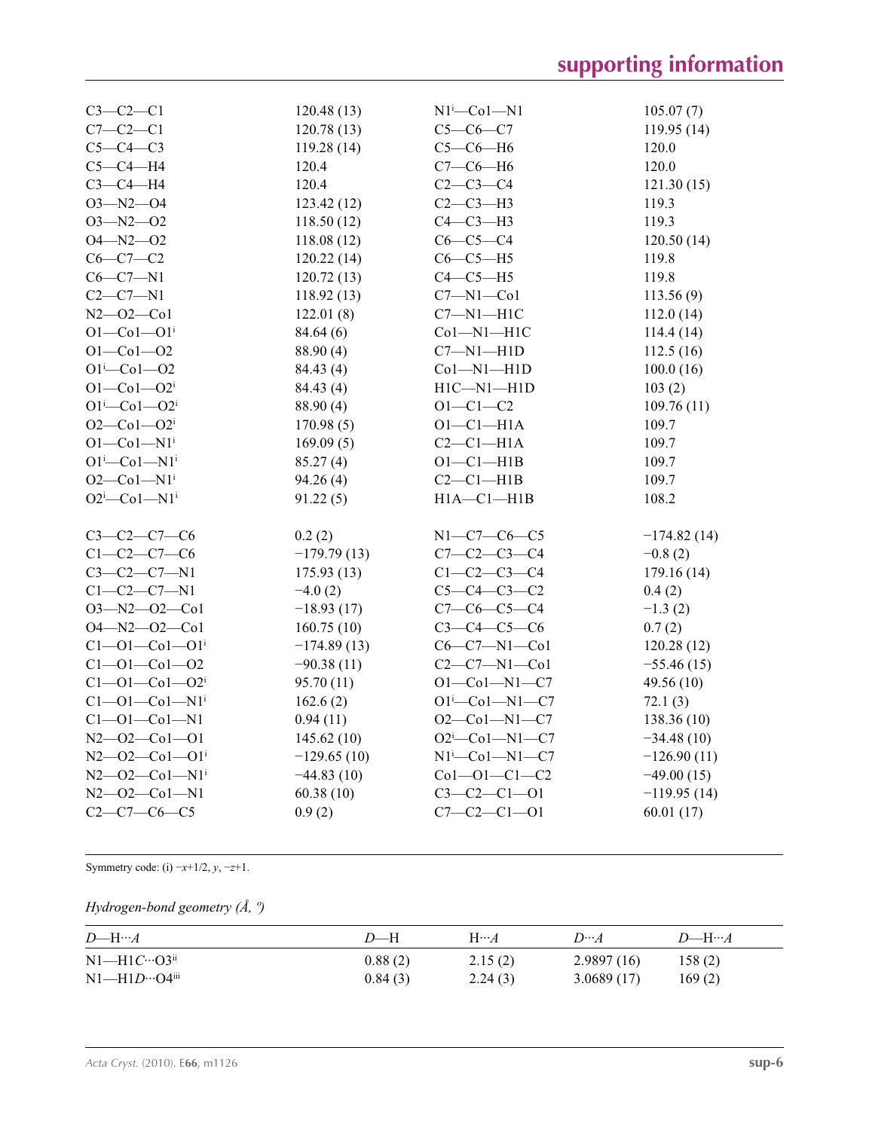| $C3-C2-C1$                              | 120.48(13)    | $N1^i$ -Co $1$ -N1                                           | 105.07(7)     |
|-----------------------------------------|---------------|--------------------------------------------------------------|---------------|
| $C7-C2-C1$                              | 120.78(13)    | $C5-C6-C7$                                                   | 119.95(14)    |
| $C5-C4-C3$                              | 119.28(14)    | $C5-C6-H6$                                                   | 120.0         |
| $C5-C4-H4$                              | 120.4         | $C7-C6-H6$                                                   | 120.0         |
| $C3-C4-H4$                              | 120.4         | $C2-C3-C4$                                                   | 121.30(15)    |
| $O3 - N2 - O4$                          | 123.42 (12)   | $C2-C3-H3$                                                   | 119.3         |
| $O3 - N2 - O2$                          | 118.50(12)    | $C4-C3-H3$                                                   | 119.3         |
| $O4 - N2 - O2$                          | 118.08(12)    | $C6-C5-C4$                                                   | 120.50(14)    |
| $C6-C7-C2$                              | 120.22(14)    | $C6-C5-H5$                                                   | 119.8         |
| $C6-C7-N1$                              | 120.72(13)    | $C4-C5-H5$                                                   | 119.8         |
| $C2-C7-N1$                              | 118.92(13)    | $C7 - N1 - Co1$                                              | 113.56(9)     |
| $N2 - 02 - C01$                         | 122.01(8)     | $C7 - N1 - H1C$                                              | 112.0(14)     |
| $O1 - Co1 - O1$ <sup>i</sup>            | 84.64(6)      | Col-Nl-H1C                                                   | 114.4(14)     |
| $O1 - Co1 - O2$                         | 88.90 (4)     | $C7 - N1 - H1D$                                              | 112.5(16)     |
| $O1^{i}$ -Co $1$ -O2                    | 84.43 (4)     | $Co1-M1-H1D$                                                 | 100.0(16)     |
| $O1 - Co1 - O2i$                        | 84.43 (4)     | $H1C-M1-H1D$                                                 | 103(2)        |
| $O1^{i}$ -Co $1$ - $O2^{i}$             | 88.90 (4)     | $O1 - C1 - C2$                                               | 109.76(11)    |
| $O2 - Co1 - O2i$                        | 170.98(5)     | $O1-C1-H1A$                                                  | 109.7         |
| $O1-Co1-N1i$                            | 169.09(5)     | $C2-C1-H1A$                                                  | 109.7         |
| $O1^i$ -Co $1$ -N $1^i$                 | 85.27(4)      | $O1-C1-H1B$                                                  | 109.7         |
| $O2$ — $Co1$ — $N1$ <sup>i</sup>        | 94.26(4)      | $C2-C1-H1B$                                                  | 109.7         |
| $O2^i$ -Co $1$ -N $1^i$                 | 91.22(5)      | $H1A - C1 - H1B$                                             | 108.2         |
|                                         |               |                                                              |               |
| $C3-C2-C7-C6$                           | 0.2(2)        | $N1 - C7 - C6 - C5$                                          | $-174.82(14)$ |
| $C1 - C2 - C7 - C6$                     | $-179.79(13)$ | $C7 - C2 - C3 - C4$                                          | $-0.8(2)$     |
| $C3-C2-C7-N1$                           | 175.93(13)    | $C1 - C2 - C3 - C4$                                          | 179.16(14)    |
| $C1 - C2 - C7 - N1$                     | $-4.0(2)$     | $C5 - C4 - C3 - C2$                                          | 0.4(2)        |
| $O3 - N2 - O2 - Co1$                    | $-18.93(17)$  | $C7-C6-C5-C4$                                                | $-1.3(2)$     |
| $O4 - N2 - O2 - Co1$                    | 160.75(10)    | $C3 - C4 - C5 - C6$                                          | 0.7(2)        |
| $C1 - 01 - C01 - 01$ <sup>i</sup>       | $-174.89(13)$ | $C6-C7-N1-C01$                                               | 120.28(12)    |
| $C1 - 01 - C01 - 02$                    | $-90.38(11)$  | $C2 - C7 - N1 - C01$                                         | $-55.46(15)$  |
| $C1 - 01 - C01 - 02$                    | 95.70 (11)    | $O1 - Co1 - N1 - C7$                                         | 49.56 (10)    |
| $C1 - 01 - C01 - N1$ <sup>i</sup>       | 162.6(2)      | $O1^{i}$ -Co $1$ -N $1$ -C7                                  | 72.1(3)       |
| $C1 - 01 - C01 - N1$                    | 0.94(11)      | $O2$ -Col-Nl-C7                                              | 138.36 (10)   |
| $N2 - 02 - C01 - 01$                    | 145.62(10)    | $O2^{i}$ -Col-N1-C7                                          | $-34.48(10)$  |
| $N2 - 02 - Co1 - 01$ <sup>i</sup>       | $-129.65(10)$ | $N1^{i}$ - Co <sub>1</sub> - N <sub>1</sub> - C <sub>7</sub> | $-126.90(11)$ |
| $N2$ — $O2$ — $Co1$ — $N1$ <sup>i</sup> | $-44.83(10)$  | $Co1-O1-C1-C2$                                               | $-49.00(15)$  |
| $N2 - 02 - C01 - N1$                    | 60.38(10)     | $C3-C2-C1-01$                                                | $-119.95(14)$ |
| $C2 - C7 - C6 - C5$                     | 0.9(2)        | $C7 - C2 - C1 - 01$                                          | 60.01(17)     |
|                                         |               |                                                              |               |

Symmetry code: (i) −*x*+1/2, *y*, −*z*+1.

### *Hydrogen-bond geometry (Å, º)*

| $D\rightarrowtail H\rightarrowtail A$ | D—H     | $H\cdots A$ | $D \cdots A$ | $D$ —H… $A$ |
|---------------------------------------|---------|-------------|--------------|-------------|
| $N1-H1C \cdots Q3^{ii}$               | 0.88(2) | 2.15(2)     | 2.9897(16)   | 158(2)      |
| $N1$ —H $1D$ …O4 $i$ ii               | 0.84(3) | 2.24(3)     | 3.0689(17)   | 169(2)      |